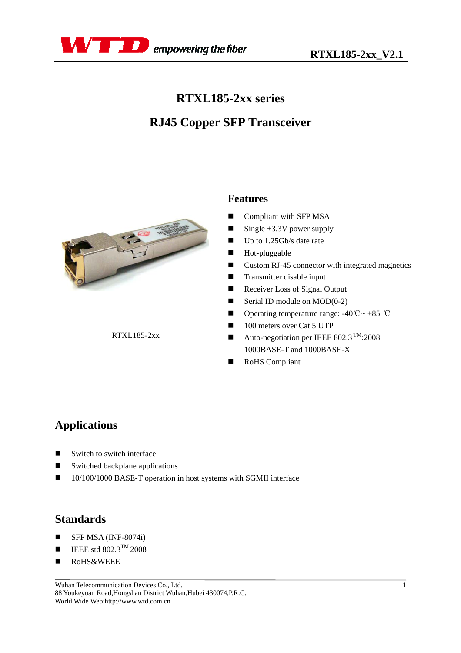

## **RTXL185-2xx series**

# **RJ45 Copper SFP Transceiver**



RTXL185-2xx

### **Features**

- Compliant with SFP MSA
- Single  $+3.3V$  power supply
- Up to 1.25Gb/s date rate
- **Hot-pluggable**
- Custom RJ-45 connector with integrated magnetics
- **Transmitter disable input**
- Receiver Loss of Signal Output
- Serial ID module on  $MOD(0-2)$
- **■** Operating temperature range:  $-40^{\circ}\text{C} \sim +85^{\circ}\text{C}$
- 100 meters over Cat 5 UTP
- Auto-negotiation per IEEE 802.3  $^{TM}$ :2008 1000BASE-T and 1000BASE-X
- RoHS Compliant

## **Applications**

- Switch to switch interface
- Switched backplane applications
- 10/100/1000 BASE-T operation in host systems with SGMII interface

## **Standards**

- $\blacksquare$  SFP MSA (INF-8074i)
- $\blacksquare$  IEEE std 802.3<sup>TM</sup> 2008
- RoHS&WEEE

Wuhan Telecommunication Devices Co., Ltd. 88 Youkeyuan Road,Hongshan District Wuhan,Hubei 430074,P.R.C. World Wide Web:http://www.wtd.com.cn